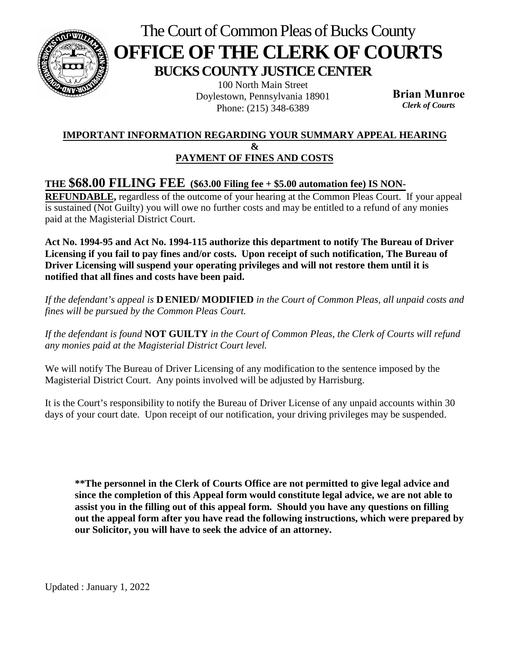

# The Court of Common Pleas of Bucks County **OFFICE OF THE CLERK OF COURTS BUCKS COUNTY JUSTICE CENTER**

100 North Main Street Doylestown, Pennsylvania 18901 Phone: (215) 348-6389

**Brian Munroe** *Clerk of Courts* 

### **IMPORTANT INFORMATION REGARDING YOUR SUMMARY APPEAL HEARING & PAYMENT OF FINES AND COSTS**

## **THE \$68.00 FILING FEE (\$63.00 Filing fee + \$5.00 automation fee) IS NON-**

**REFUNDABLE,** regardless of the outcome of your hearing at the Common Pleas Court. If your appeal is sustained (Not Guilty) you will owe no further costs and may be entitled to a refund of any monies paid at the Magisterial District Court.

**Act No. 1994-95 and Act No. 1994-115 authorize this department to notify The Bureau of Driver Licensing if you fail to pay fines and/or costs. Upon receipt of such notification, The Bureau of Driver Licensing will suspend your operating privileges and will not restore them until it is notified that all fines and costs have been paid.** 

*If the defendant's appeal is* **D ENIED/ MODIFIED** *in the Court of Common Pleas, all unpaid costs and fines will be pursued by the Common Pleas Court.* 

*If the defendant is found* **NOT GUILTY** *in the Court of Common Pleas, the Clerk of Courts will refund any monies paid at the Magisterial District Court level.* 

We will notify The Bureau of Driver Licensing of any modification to the sentence imposed by the Magisterial District Court. Any points involved will be adjusted by Harrisburg.

It is the Court's responsibility to notify the Bureau of Driver License of any unpaid accounts within 30 days of your court date. Upon receipt of our notification, your driving privileges may be suspended.

**\*\*The personnel in the Clerk of Courts Office are not permitted to give legal advice and since the completion of this Appeal form would constitute legal advice, we are not able to assist you in the filling out of this appeal form. Should you have any questions on filling out the appeal form after you have read the following instructions, which were prepared by our Solicitor, you will have to seek the advice of an attorney.** 

Updated : January 1, 2022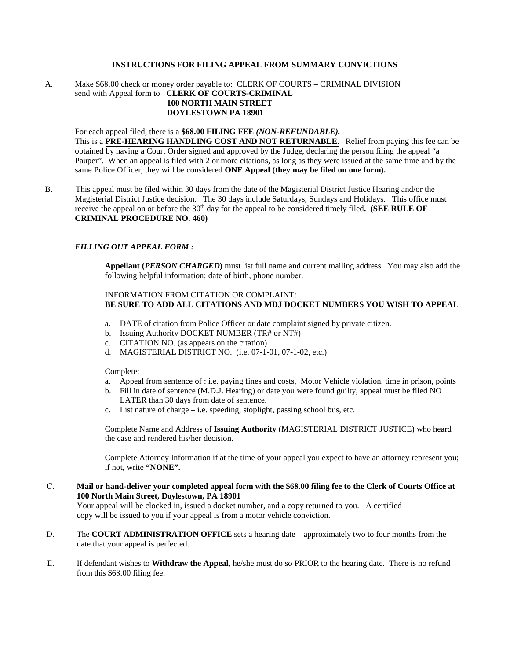#### **INSTRUCTIONS FOR FILING APPEAL FROM SUMMARY CONVICTIONS**

A. Make \$68.00 check or money order payable to: CLERK OF COURTS – CRIMINAL DIVISION send with Appeal form to **CLERK OF COURTS-CRIMINAL 100 NORTH MAIN STREET DOYLESTOWN PA 18901**

For each appeal filed, there is a **\$68.00 FILING FEE** *(NON-REFUNDABLE).* This is a **PRE-HEARING HANDLING COST AND NOT RETURNABLE.** Relief from paying this fee can be obtained by having a Court Order signed and approved by the Judge, declaring the person filing the appeal "a Pauper". When an appeal is filed with 2 or more citations, as long as they were issued at the same time and by the same Police Officer, they will be considered **ONE Appeal (they may be filed on one form).**

B. This appeal must be filed within 30 days from the date of the Magisterial District Justice Hearing and/or the Magisterial District Justice decision. The 30 days include Saturdays, Sundays and Holidays. This office must receive the appeal on or before the 30th day for the appeal to be considered timely filed**. (SEE RULE OF CRIMINAL PROCEDURE NO. 460)**

#### *FILLING OUT APPEAL FORM :*

**Appellant (***PERSON CHARGED***)** must list full name and current mailing address. You may also add the following helpful information: date of birth, phone number.

#### INFORMATION FROM CITATION OR COMPLAINT: **BE SURE TO ADD ALL CITATIONS AND MDJ DOCKET NUMBERS YOU WISH TO APPEAL**

- a. DATE of citation from Police Officer or date complaint signed by private citizen.
- b. Issuing Authority DOCKET NUMBER (TR# or NT#)
- c. CITATION NO. (as appears on the citation)
- d. MAGISTERIAL DISTRICT NO. (i.e. 07-1-01, 07-1-02, etc.)

Complete:

- a. Appeal from sentence of : i.e. paying fines and costs, Motor Vehicle violation, time in prison, points
- b. Fill in date of sentence (M.D.J. Hearing) or date you were found guilty, appeal must be filed NO LATER than 30 days from date of sentence.
- c. List nature of charge i.e. speeding, stoplight, passing school bus, etc.

Complete Name and Address of **Issuing Authority** (MAGISTERIAL DISTRICT JUSTICE) who heard the case and rendered his/her decision.

Complete Attorney Information if at the time of your appeal you expect to have an attorney represent you; if not, write **"NONE".**

- C. **Mail or hand-deliver your completed appeal form with the \$68.00 filing fee to the Clerk of Courts Office at 100 North Main Street, Doylestown, PA 18901** Your appeal will be clocked in, issued a docket number, and a copy returned to you. A certified copy will be issued to you if your appeal is from a motor vehicle conviction.
- D. The **COURT ADMINISTRATION OFFICE** sets a hearing date approximately two to four months from the date that your appeal is perfected.
- E. If defendant wishes to **Withdraw the Appeal**, he/she must do so PRIOR to the hearing date. There is no refund from this \$68.00 filing fee.